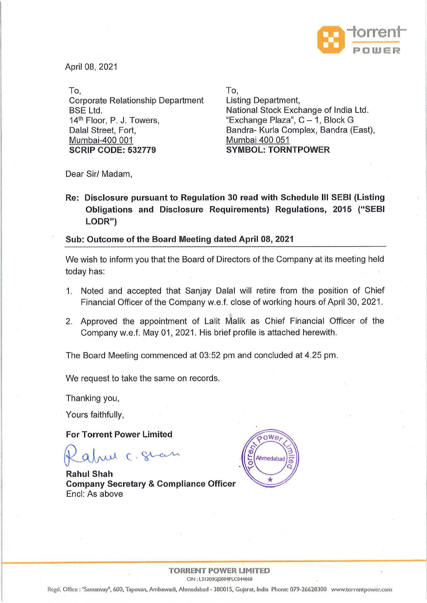

April 08, 2021

To, Corporate Relationship Department BSE Ltd. 14<sup>th</sup> Floor, P. J. Towers, Dalal Street, Fort, Mumbai-400 001 **SCRIP CODE: 532779** 

To, Listing Department, National Stock Exchange of India Ltd. "Exchange Plaza",  $C - 1$ , Block G Bandra- Kurla Complex, Bandra (East), Mumbai 400 051 **SYMBOL: TORNTPOWER** 

Dear Sir/ Madam,

**Re: Disclosure pursuant to Regulation 30 read with Schedule Ill SEBI (Listing Obligations and Disclosure Requirements) Regulations, 2015 ("SEBI LODR")** 

## **Sub: Outcome of the Board Meeting dated April 08, 2021**

We wish to inform you that the Board of Directors of the Company at its meeting held today has:

- 1. Noted and accepted that Sanjay Dalal will retire from the position of Chief Financial Officer of the Company w.e.f. close of working hours of April 30, 2021.
- 2. Approved the appointment of Lalit Malik as Chief Financial Officer of the Company w.e.f. May 01, 2021. His brief profile is attached herewith.

The Board Meeting commenced at 03:52 pm and concluded at 4.25 pm.

We request to take the same on records.

Thanking you,

Yours faithfully,

**For Torrent Power Limited** 

rul C. Stat

**Rahul Shah Company Secretary & Compliance Officer**  Encl: As above



## **TORRENT POWER LIMITED**  CIN: L31200GJ2004PLC044068

Regd. Office : "Samanvay", 600, Tapovan, Ambawadi, Ahmedabad - 380015, Gujarat, India Phone: 079-26628300 www.torrentpower.com